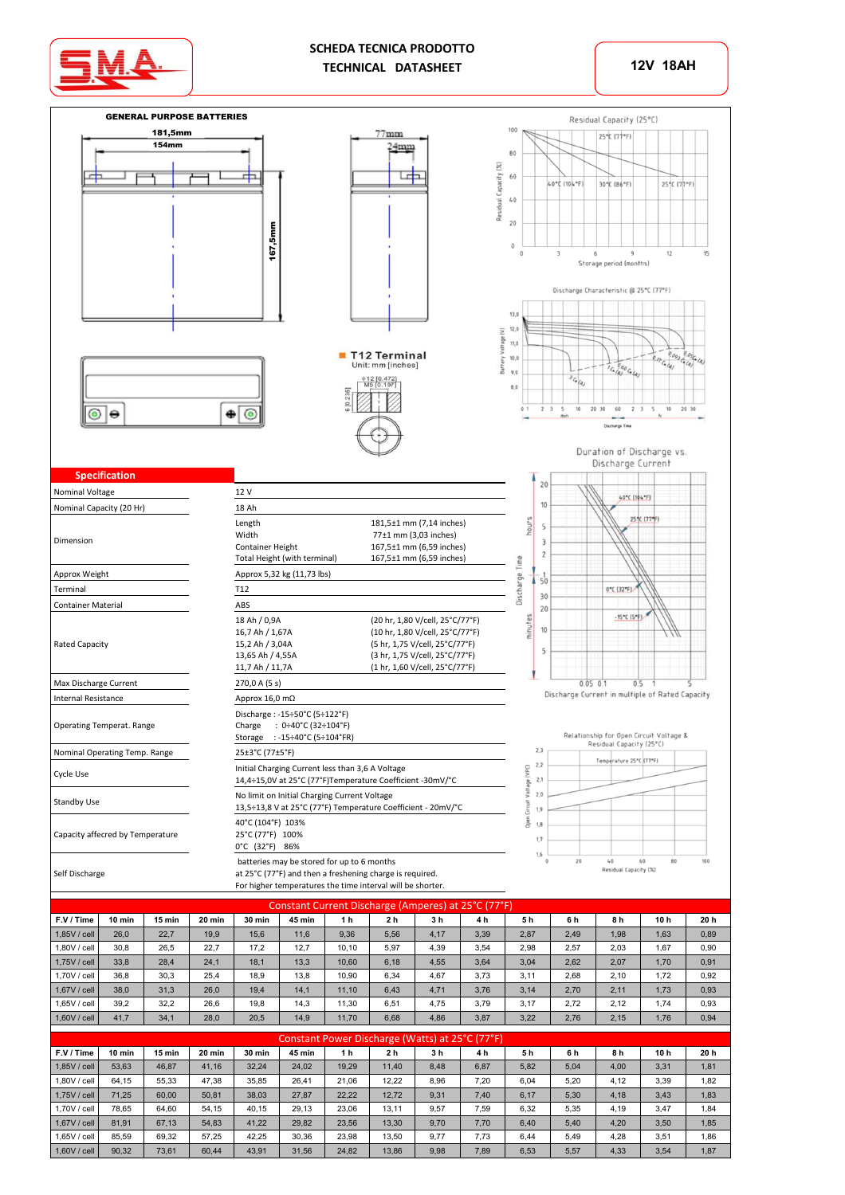

## **SCHEDA TECNICA PRODOTTO TECHNICAL DATASHEET**

**12V 18AH**



1,60V / cell 90,32 | 73,61 | 60,44 | 43,91 | 31,56 | 24,82 | 13,86 | 9,98 | 7,89 | 6,53 | 5,57 | 4,33 | 3,54 | 1,87